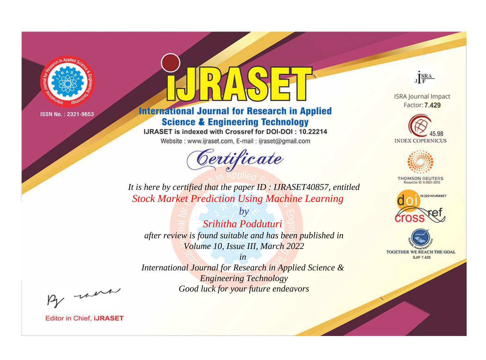

# **International Journal for Research in Applied Science & Engineering Technology**

IJRASET is indexed with Crossref for DOI-DOI: 10.22214

Website: www.ijraset.com, E-mail: ijraset@gmail.com



JERA

**ISRA Journal Impact** Factor: 7.429





**THOMSON REUTERS** 



TOGETHER WE REACH THE GOAL **SJIF 7.429** 

*It is here by certified that the paper ID : IJRASET40857, entitled Stock Market Prediction Using Machine Learning*

*Srihitha Podduturi after review is found suitable and has been published in Volume 10, Issue III, March 2022*

*by*

*in International Journal for Research in Applied Science & Engineering Technology Good luck for your future endeavors*

By morn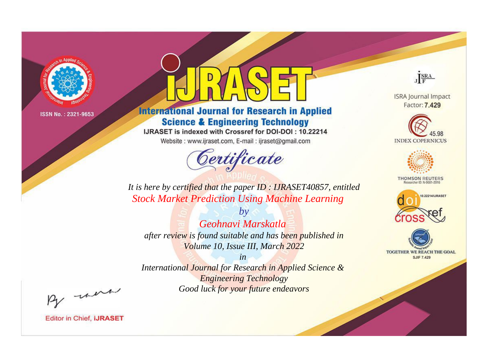

# **International Journal for Research in Applied Science & Engineering Technology**

IJRASET is indexed with Crossref for DOI-DOI: 10.22214

Website: www.ijraset.com, E-mail: ijraset@gmail.com



JERA

**ISRA Journal Impact** Factor: 7.429





**THOMSON REUTERS** 



TOGETHER WE REACH THE GOAL **SJIF 7.429** 

*It is here by certified that the paper ID : IJRASET40857, entitled Stock Market Prediction Using Machine Learning*

*by Geohnavi Marskatla after review is found suitable and has been published in Volume 10, Issue III, March 2022*

*in* 

*International Journal for Research in Applied Science & Engineering Technology Good luck for your future endeavors*

By morn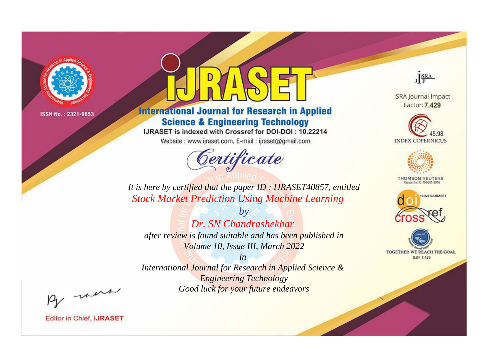

# **International Journal for Research in Applied Science & Engineering Technology**

IJRASET is indexed with Crossref for DOI-DOI: 10.22214

Website: www.ijraset.com, E-mail: ijraset@gmail.com



JERA

**ISRA Journal Impact** Factor: 7.429





**THOMSON REUTERS** 



TOGETHER WE REACH THE GOAL **SJIF 7.429** 

*It is here by certified that the paper ID : IJRASET40857, entitled Stock Market Prediction Using Machine Learning*

*by Dr. SN Chandrashekhar after review is found suitable and has been published in Volume 10, Issue III, March 2022*

*in International Journal for Research in Applied Science &* 

*Engineering Technology Good luck for your future endeavors*

By morn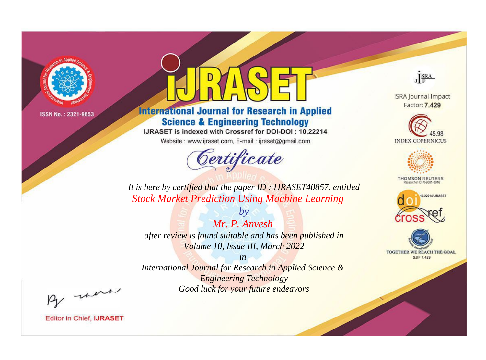

# **International Journal for Research in Applied Science & Engineering Technology**

IJRASET is indexed with Crossref for DOI-DOI: 10.22214

Website: www.ijraset.com, E-mail: ijraset@gmail.com



JERA

**ISRA Journal Impact** Factor: 7.429





**THOMSON REUTERS** 



TOGETHER WE REACH THE GOAL **SJIF 7.429** 

*It is here by certified that the paper ID : IJRASET40857, entitled Stock Market Prediction Using Machine Learning*

*by Mr. P. Anvesh after review is found suitable and has been published in Volume 10, Issue III, March 2022*

*in* 

*International Journal for Research in Applied Science & Engineering Technology Good luck for your future endeavors*

By morn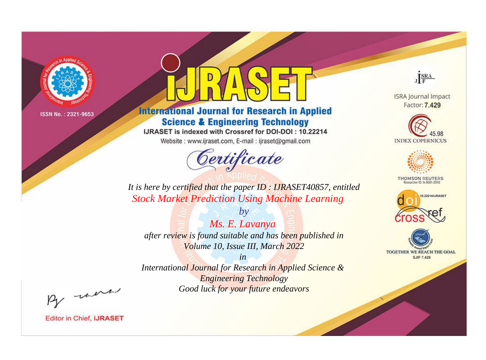

# **International Journal for Research in Applied Science & Engineering Technology**

IJRASET is indexed with Crossref for DOI-DOI: 10.22214

Website: www.ijraset.com, E-mail: ijraset@gmail.com



JERA

**ISRA Journal Impact** Factor: 7.429





**THOMSON REUTERS** 



TOGETHER WE REACH THE GOAL **SJIF 7.429** 

*It is here by certified that the paper ID : IJRASET40857, entitled Stock Market Prediction Using Machine Learning*

*by Ms. E. Lavanya after review is found suitable and has been published in Volume 10, Issue III, March 2022*

*in* 

*International Journal for Research in Applied Science & Engineering Technology Good luck for your future endeavors*

By morn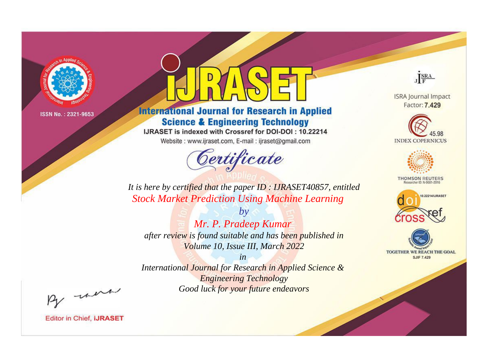

# **International Journal for Research in Applied Science & Engineering Technology**

IJRASET is indexed with Crossref for DOI-DOI: 10.22214

Website: www.ijraset.com, E-mail: ijraset@gmail.com



JERA

**ISRA Journal Impact** Factor: 7.429





**THOMSON REUTERS** 



TOGETHER WE REACH THE GOAL **SJIF 7.429** 

*It is here by certified that the paper ID : IJRASET40857, entitled Stock Market Prediction Using Machine Learning*

*by Mr. P. Pradeep Kumar after review is found suitable and has been published in Volume 10, Issue III, March 2022*

*in* 

*International Journal for Research in Applied Science & Engineering Technology Good luck for your future endeavors*

By morn